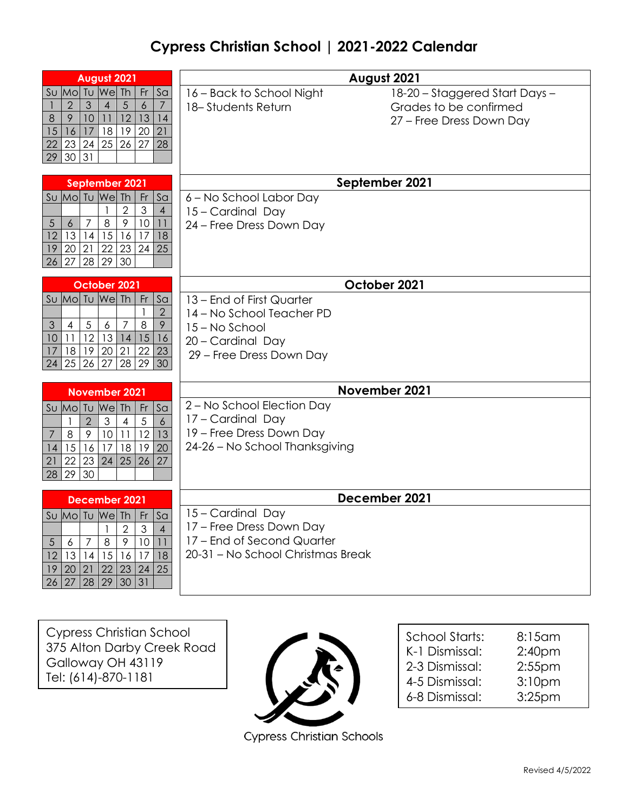## **Cypress Christian School | 2021-2022 Calendar**

| August 2021                                                                                                                                                                                                                                                                                                          | August 2021                                                                                                               |                                                                                      |  |
|----------------------------------------------------------------------------------------------------------------------------------------------------------------------------------------------------------------------------------------------------------------------------------------------------------------------|---------------------------------------------------------------------------------------------------------------------------|--------------------------------------------------------------------------------------|--|
| We<br>Th<br>$\mathsf{Fr}$<br>Su Mo Tu<br>S <sub>a</sub><br>$\mathfrak{S}$<br>$\sqrt{5}$<br>$\overline{2}$<br>$\overline{4}$<br>$\boldsymbol{6}$<br>$\boldsymbol{7}$<br>12<br>13<br>8<br>$\mathcal{P}$<br>10<br>11<br>14<br>17<br>18<br>19<br>20 21<br>15<br>16<br>25 26 <br>22<br>23 24<br>27<br>28<br>30 31<br>29   | 16 - Back to School Night<br>18-Students Return                                                                           | 18-20 - Staggered Start Days -<br>Grades to be confirmed<br>27 - Free Dress Down Day |  |
| September 2021                                                                                                                                                                                                                                                                                                       | September 2021                                                                                                            |                                                                                      |  |
| Su Mo Tu We<br><b>Th</b><br>Fr<br>S <sub>a</sub><br>$\overline{2}$<br>$\ensuremath{\mathsf{3}}$<br>$\overline{4}$<br>9<br>$\,8\,$<br>10<br>$\overline{5}$<br>$\boldsymbol{6}$<br>7<br>11<br>15<br>13 14<br>12<br>16<br>17<br>18<br>20 21<br>22 23 <br>24<br>25<br>19<br>28 29 30<br>27<br>26                         | 6 - No School Labor Day<br>15 - Cardinal Day<br>24 - Free Dress Down Day                                                  |                                                                                      |  |
| October 2021                                                                                                                                                                                                                                                                                                         | October 2021                                                                                                              |                                                                                      |  |
| Su Mo Tu We Th<br>$\mathsf{Fr}$<br>S <sub>a</sub><br>$\overline{2}$<br>$\mathbf{1}$<br>$\overline{7}$<br>8<br>9<br>$\overline{4}$<br>$\overline{5}$<br>$\boldsymbol{6}$<br>$\mathfrak{Z}$<br>12<br>13<br>15<br>11 <sup>1</sup><br> 4 <br>10<br>16<br>20 21 <br>17<br>18 19<br>22<br>23<br>25 26 27<br>28 29 30<br>24 | 13 – End of First Quarter<br>14 - No School Teacher PD<br>15 - No School<br>20 - Cardinal Day<br>29 - Free Dress Down Day |                                                                                      |  |
| November 2021                                                                                                                                                                                                                                                                                                        |                                                                                                                           | November 2021                                                                        |  |
| We<br>S <sub>a</sub><br>Su Mol<br>TU<br>Th<br>Fr<br>$\overline{2}$<br>$\mathfrak{Z}$<br>5<br>$\delta$<br>$\overline{4}$<br>$\mathbf{1}$<br>$\overline{9}$<br>10 <sup>°</sup><br>12<br>13<br>$\,8\,$<br>11<br>7<br>17<br>16<br>18<br>19<br>20<br>15<br>14<br>22 23<br>24<br>25<br>26<br>27<br>21<br>30<br>29<br>28    | 2 - No School Election Day<br>17 - Cardinal Day<br>19 - Free Dress Down Day<br>24-26 - No School Thanksgiving             |                                                                                      |  |
| December 2021                                                                                                                                                                                                                                                                                                        | December 2021                                                                                                             |                                                                                      |  |
| We Th<br>Su Mo Tu<br>Fr<br>Sa<br>$\overline{2}$<br>$\overline{4}$<br>$\mathfrak{Z}$<br>1<br>$\,8\,$<br>9<br>10<br>5<br>$\overline{7}$<br>11<br>6<br>15<br>17<br>18<br>12<br>13 14<br>16<br>20<br>21<br>22<br>23<br>25<br>19<br>24<br>$\overline{29}$<br>31<br>28<br>30<br>27<br>26                                   | 15 - Cardinal Day<br>17 - Free Dress Down Day<br>17 - End of Second Quarter<br>20-31 - No School Christmas Break          |                                                                                      |  |

Cypress Christian School 375 Alton Darby Creek Road Galloway OH 43119 Tel: (614)-870-1181



**Cypress Christian Schools** 

| School Starts:<br>K-1 Dismissal:<br>2-3 Dismissal: | 8:15 am<br>2:40 <sub>pm</sub><br>$2:55$ pm |
|----------------------------------------------------|--------------------------------------------|
| 4-5 Dismissal:                                     | 3:10pm                                     |
| 6-8 Dismissal:                                     | 3:25 <sub>pm</sub>                         |